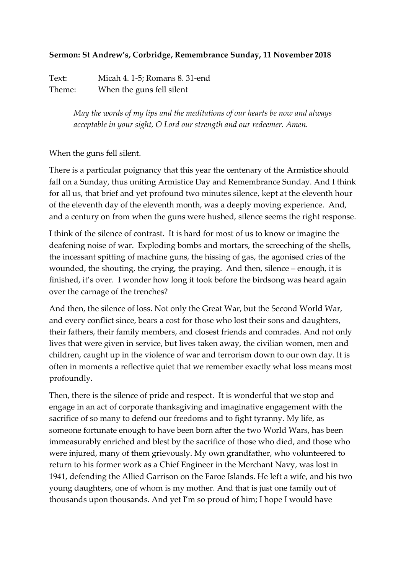## **Sermon: St Andrew's, Corbridge, Remembrance Sunday, 11 November 2018**

Text: Micah 4. 1-5; Romans 8. 31-end Theme: When the guns fell silent

> *May the words of my lips and the meditations of our hearts be now and always acceptable in your sight, O Lord our strength and our redeemer. Amen.*

## When the guns fell silent.

There is a particular poignancy that this year the centenary of the Armistice should fall on a Sunday, thus uniting Armistice Day and Remembrance Sunday. And I think for all us, that brief and yet profound two minutes silence, kept at the eleventh hour of the eleventh day of the eleventh month, was a deeply moving experience. And, and a century on from when the guns were hushed, silence seems the right response.

I think of the silence of contrast. It is hard for most of us to know or imagine the deafening noise of war. Exploding bombs and mortars, the screeching of the shells, the incessant spitting of machine guns, the hissing of gas, the agonised cries of the wounded, the shouting, the crying, the praying. And then, silence – enough, it is finished, it's over. I wonder how long it took before the birdsong was heard again over the carnage of the trenches?

And then, the silence of loss. Not only the Great War, but the Second World War, and every conflict since, bears a cost for those who lost their sons and daughters, their fathers, their family members, and closest friends and comrades. And not only lives that were given in service, but lives taken away, the civilian women, men and children, caught up in the violence of war and terrorism down to our own day. It is often in moments a reflective quiet that we remember exactly what loss means most profoundly.

Then, there is the silence of pride and respect. It is wonderful that we stop and engage in an act of corporate thanksgiving and imaginative engagement with the sacrifice of so many to defend our freedoms and to fight tyranny. My life, as someone fortunate enough to have been born after the two World Wars, has been immeasurably enriched and blest by the sacrifice of those who died, and those who were injured, many of them grievously. My own grandfather, who volunteered to return to his former work as a Chief Engineer in the Merchant Navy, was lost in 1941, defending the Allied Garrison on the Faroe Islands. He left a wife, and his two young daughters, one of whom is my mother. And that is just one family out of thousands upon thousands. And yet I'm so proud of him; I hope I would have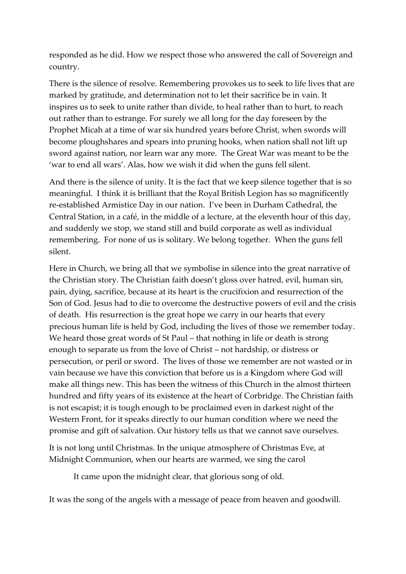responded as he did. How we respect those who answered the call of Sovereign and country.

There is the silence of resolve. Remembering provokes us to seek to life lives that are marked by gratitude, and determination not to let their sacrifice be in vain. It inspires us to seek to unite rather than divide, to heal rather than to hurt, to reach out rather than to estrange. For surely we all long for the day foreseen by the Prophet Micah at a time of war six hundred years before Christ, when swords will become ploughshares and spears into pruning hooks, when nation shall not lift up sword against nation, nor learn war any more. The Great War was meant to be the 'war to end all wars'. Alas, how we wish it did when the guns fell silent.

And there is the silence of unity. It is the fact that we keep silence together that is so meaningful. I think it is brilliant that the Royal British Legion has so magnificently re-established Armistice Day in our nation. I've been in Durham Cathedral, the Central Station, in a café, in the middle of a lecture, at the eleventh hour of this day, and suddenly we stop, we stand still and build corporate as well as individual remembering. For none of us is solitary. We belong together. When the guns fell silent.

Here in Church, we bring all that we symbolise in silence into the great narrative of the Christian story. The Christian faith doesn't gloss over hatred, evil, human sin, pain, dying, sacrifice, because at its heart is the crucifixion and resurrection of the Son of God. Jesus had to die to overcome the destructive powers of evil and the crisis of death. His resurrection is the great hope we carry in our hearts that every precious human life is held by God, including the lives of those we remember today. We heard those great words of St Paul – that nothing in life or death is strong enough to separate us from the love of Christ – not hardship, or distress or persecution, or peril or sword. The lives of those we remember are not wasted or in vain because we have this conviction that before us is a Kingdom where God will make all things new. This has been the witness of this Church in the almost thirteen hundred and fifty years of its existence at the heart of Corbridge. The Christian faith is not escapist; it is tough enough to be proclaimed even in darkest night of the Western Front, for it speaks directly to our human condition where we need the promise and gift of salvation. Our history tells us that we cannot save ourselves.

It is not long until Christmas. In the unique atmosphere of Christmas Eve, at Midnight Communion, when our hearts are warmed, we sing the carol

It came upon the midnight clear, that glorious song of old.

It was the song of the angels with a message of peace from heaven and goodwill.